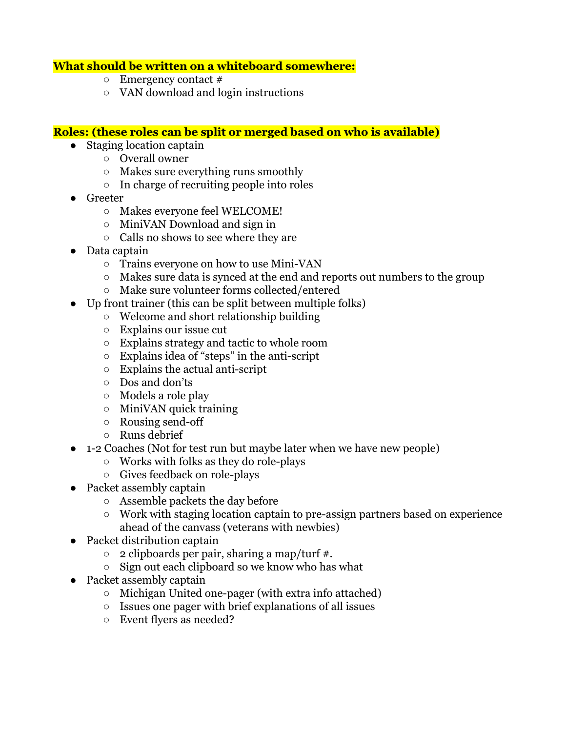#### **What should be written on a whiteboard somewhere:**

- $\circ$  Emergency contact #
- VAN download and login instructions

#### **Roles: (these roles can be split or merged based on who is available)**

- Staging location captain
	- Overall owner
	- Makes sure everything runs smoothly
	- In charge of recruiting people into roles
- **Greeter** 
	- Makes everyone feel WELCOME!
	- MiniVAN Download and sign in
	- Calls no shows to see where they are
- Data captain
	- Trains everyone on how to use Mini-VAN
	- Makes sure data is synced at the end and reports out numbers to the group
	- Make sure volunteer forms collected/entered
- Up front trainer (this can be split between multiple folks)
	- Welcome and short relationship building
	- Explains our issue cut
	- Explains strategy and tactic to whole room
	- Explains idea of "steps" in the anti-script
	- Explains the actual anti-script
	- Dos and don'ts
	- Models a role play
	- $\circ$  MiniVAN quick training
	- Rousing send-off
	- Runs debrief
- 1-2 Coaches (Not for test run but maybe later when we have new people)
	- Works with folks as they do role-plays
	- Gives feedback on role-plays
- Packet assembly captain
	- Assemble packets the day before
	- Work with staging location captain to pre-assign partners based on experience ahead of the canvass (veterans with newbies)
- Packet distribution captain
	- $\circ$  2 clipboards per pair, sharing a map/turf #.
	- Sign out each clipboard so we know who has what
- Packet assembly captain
	- Michigan United one-pager (with extra info attached)
	- Issues one pager with brief explanations of all issues
	- Event flyers as needed?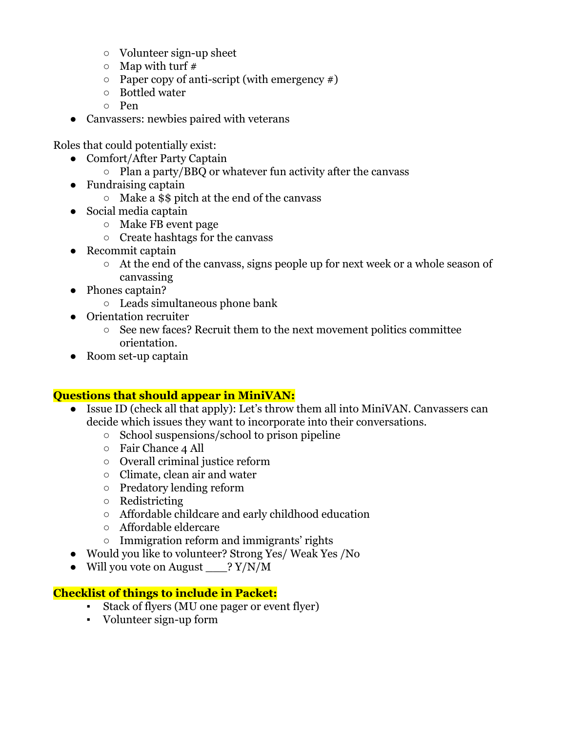- Volunteer sign-up sheet
- $\circ$  Map with turf #
- $\circ$  Paper copy of anti-script (with emergency #)
- Bottled water
- Pen
- Canvassers: newbies paired with veterans

Roles that could potentially exist:

- Comfort/After Party Captain
	- Plan a party/BBQ or whatever fun activity after the canvass
- Fundraising captain
	- Make a \$\$ pitch at the end of the canvass
- Social media captain
	- Make FB event page
	- Create hashtags for the canvass
- Recommit captain
	- At the end of the canvass, signs people up for next week or a whole season of canvassing
- Phones captain?
	- Leads simultaneous phone bank
- Orientation recruiter
	- See new faces? Recruit them to the next movement politics committee orientation.
- Room set-up captain

## **Questions that should appear in MiniVAN:**

- Issue ID (check all that apply): Let's throw them all into MiniVAN. Canvassers can decide which issues they want to incorporate into their conversations.
	- School suspensions/school to prison pipeline
	- Fair Chance 4 All
	- Overall criminal justice reform
	- Climate, clean air and water
	- Predatory lending reform
	- Redistricting
	- Affordable childcare and early childhood education
	- Affordable eldercare
	- Immigration reform and immigrants' rights
- Would you like to volunteer? Strong Yes/ Weak Yes /No
- Will you vote on August ? Y/N/M

# **Checklist of things to include in Packet:**

- Stack of flyers (MU one pager or event flyer)
- Volunteer sign-up form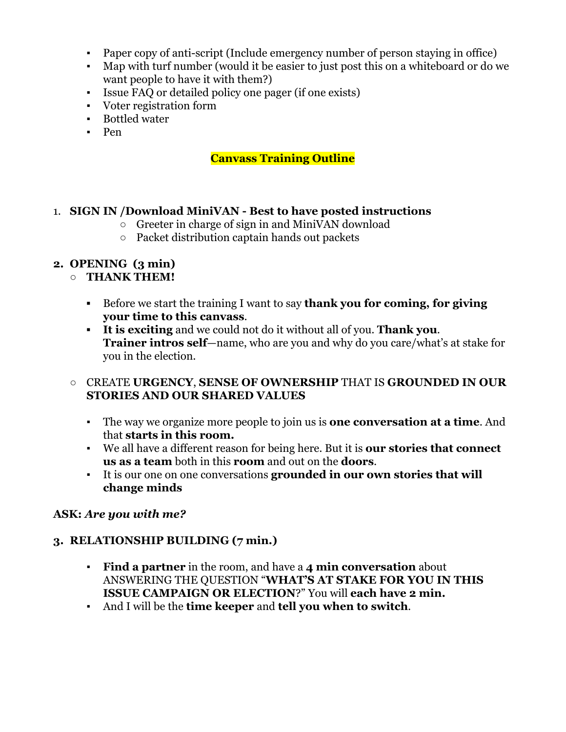- Paper copy of anti-script (Include emergency number of person staying in office)
- Map with turf number (would it be easier to just post this on a whiteboard or do we want people to have it with them?)
- Issue FAQ or detailed policy one pager (if one exists)
- Voter registration form
- Bottled water
- Pen

## **Canvass Training Outline**

#### 1. **SIGN IN /Download MiniVAN - Best to have posted instructions**

- $\circ$  Greeter in charge of sign in and MiniVAN download
- Packet distribution captain hands out packets

## **2. OPENING (3 min)**

## ○ **THANK THEM!**

- **▪** Before we start the training I want to say **thank you for coming, for giving your time to this canvass**.
- **▪ It is exciting** and we could not do it without all of you. **Thank you**. **Trainer intros self**—name, who are you and why do you care/what's at stake for you in the election.

## **○** CREATE **URGENCY**, **SENSE OF OWNERSHIP** THAT IS **GROUNDED IN OUR STORIES AND OUR SHARED VALUES**

- The way we organize more people to join us is **one conversation at a time**. And that **starts in this room.**
- We all have a different reason for being here. But it is **our stories that connect us as a team** both in this **room** and out on the **doors**.
- It is our one on one conversations **grounded in our own stories that will change minds**

## **ASK:** *Are you with me?*

## **3. RELATIONSHIP BUILDING (7 min.)**

- **Find a partner** in the room, and have a **4 min conversation** about ANSWERING THE QUESTION "**WHAT'S AT STAKE FOR YOU IN THIS ISSUE CAMPAIGN OR ELECTION**?" You will **each have 2 min.**
- And I will be the **time keeper** and **tell you when to switch**.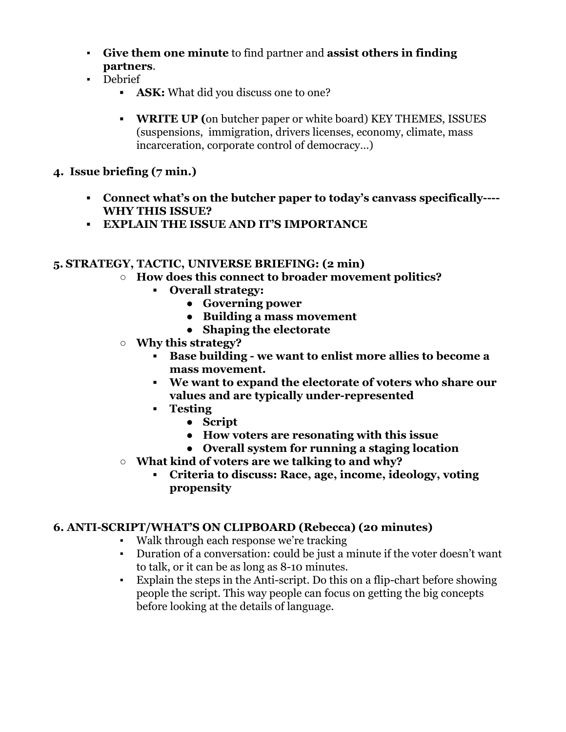- **Give them one minute** to find partner and **assist others in finding partners**.
- Debrief
	- *▪* **ASK:** What did you discuss one to one?
	- *▪* **WRITE UP (**on butcher paper or white board) KEY THEMES, ISSUES (suspensions, immigration, drivers licenses, economy, climate, mass incarceration, corporate control of democracy…)

## **4. Issue briefing (7 min.)**

- *▪* **Connect what's on the butcher paper to today's canvass specifically---- WHY THIS ISSUE?**
- **▪ EXPLAIN THE ISSUE AND IT'S IMPORTANCE**

## **5. STRATEGY, TACTIC, UNIVERSE BRIEFING: (2 min)**

- **○ How does this connect to broader movement politics?**
	- **▪ Overall strategy:**
		- **● Governing power**
		- **● Building a mass movement**
		- **● Shaping the electorate**
- **○ Why this strategy?**
	- **▪ Base building we want to enlist more allies to become a mass movement.**
	- **▪ We want to expand the electorate of voters who share our values and are typically under-represented**
	- **▪ Testing**
		- **● Script**
		- **● How voters are resonating with this issue**
		- **● Overall system for running a staging location**
- **○ What kind of voters are we talking to and why?**
	- **▪ Criteria to discuss: Race, age, income, ideology, voting propensity**

# **6. ANTI-SCRIPT/WHAT'S ON CLIPBOARD (Rebecca) (20 minutes)**

- Walk through each response we're tracking
- Duration of a conversation: could be just a minute if the voter doesn't want to talk, or it can be as long as 8-10 minutes.
- Explain the steps in the Anti-script. Do this on a flip-chart before showing people the script. This way people can focus on getting the big concepts before looking at the details of language.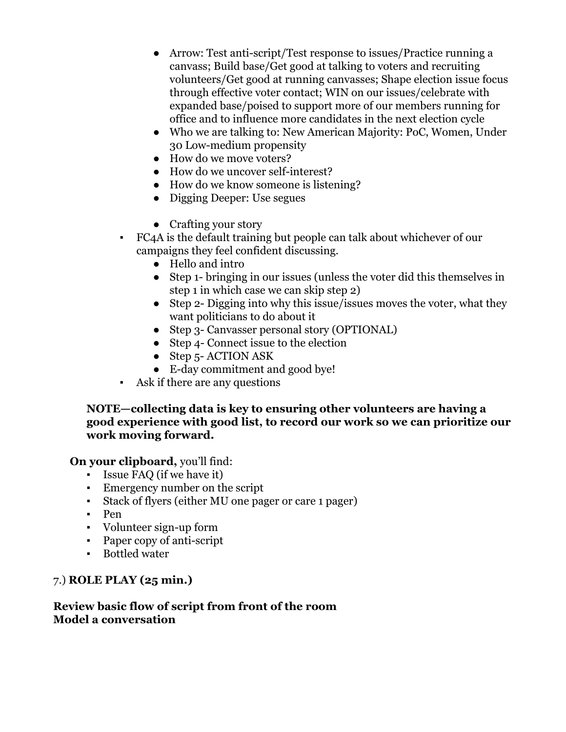- Arrow: Test anti-script/Test response to issues/Practice running a canvass; Build base/Get good at talking to voters and recruiting volunteers/Get good at running canvasses; Shape election issue focus through effective voter contact; WIN on our issues/celebrate with expanded base/poised to support more of our members running for office and to influence more candidates in the next election cycle
- Who we are talking to: New American Majority: PoC, Women, Under 30 Low-medium propensity
- How do we move voters?
- How do we uncover self-interest?
- How do we know someone is listening?
- Digging Deeper: Use segues
- Crafting your story
- FC4A is the default training but people can talk about whichever of our campaigns they feel confident discussing.
	- Hello and intro
	- Step 1- bringing in our issues (unless the voter did this themselves in step 1 in which case we can skip step 2)
	- Step 2- Digging into why this issue/issues moves the voter, what they want politicians to do about it
	- Step 3- Canvasser personal story (OPTIONAL)
	- Step 4- Connect issue to the election
	- Step 5-ACTION ASK
	- E-day commitment and good bye!
- Ask if there are any questions

### **NOTE—collecting data is key to ensuring other volunteers are having a good experience with good list, to record our work so we can prioritize our work moving forward.**

## **On your clipboard,** you'll find:

- Issue FAQ (if we have it)
- Emergency number on the script
- Stack of flyers (either MU one pager or care 1 pager)
- Pen
- Volunteer sign-up form
- Paper copy of anti-script
- Bottled water

## 7.) **ROLE PLAY (25 min.)**

## **Review basic flow of script from front of the room Model a conversation**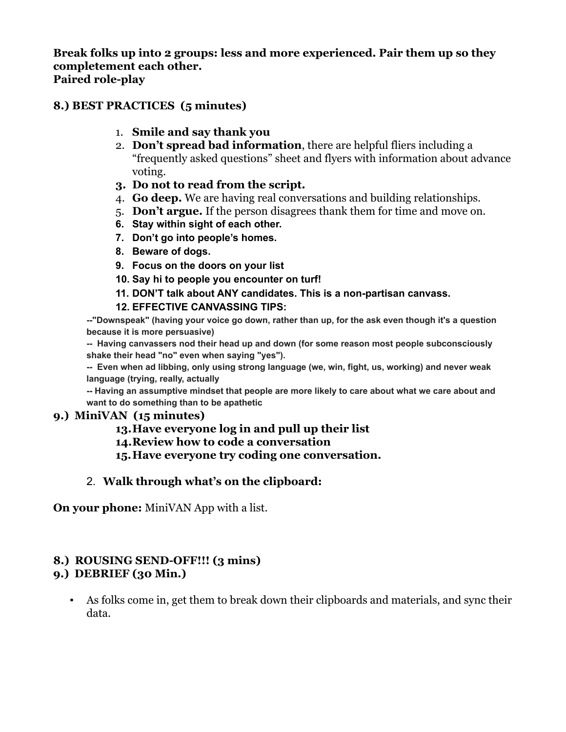**Break folks up into 2 groups: less and more experienced. Pair them up so they completement each other. Paired role-play**

### **8.) BEST PRACTICES (5 minutes)**

- 1. **Smile and say thank you**
- 2. **Don't spread bad information**, there are helpful fliers including a "frequently asked questions" sheet and flyers with information about advance voting.
- **3. Do not to read from the script.**
- 4. **Go deep.** We are having real conversations and building relationships.
- 5. **Don't argue.** If the person disagrees thank them for time and move on.
- **6. Stay within sight of each other.**
- **7. Don't go into people's homes.**
- **8. Beware of dogs.**
- **9. Focus on the doors on your list**
- **10. Say hi to people you encounter on turf!**
- **11. DON'T talk about ANY candidates. This is a non-partisan canvass.**
- **12. EFFECTIVE CANVASSING TIPS:**

**--"Downspeak" (having your voice go down, rather than up, for the ask even though it's a question because it is more persuasive)**

**-- Having canvassers nod their head up and down (for some reason most people subconsciously shake their head "no" even when saying "yes").**

**-- Even when ad libbing, only using strong language (we, win, fight, us, working) and never weak language (trying, really, actually**

**-- Having an assumptive mindset that people are more likely to care about what we care about and want to do something than to be apathetic**

## **9.) MiniVAN (15 minutes)**

#### **13.Have everyone log in and pull up their list**

**14.Review how to code a conversation**

**15.Have everyone try coding one conversation.**

# 2. **Walk through what's on the clipboard:**

**On your phone:** MiniVAN App with a list.

# **8.) ROUSING SEND-OFF!!! (3 mins)**

## **9.) DEBRIEF (30 Min.)**

▪ As folks come in, get them to break down their clipboards and materials, and sync their data.